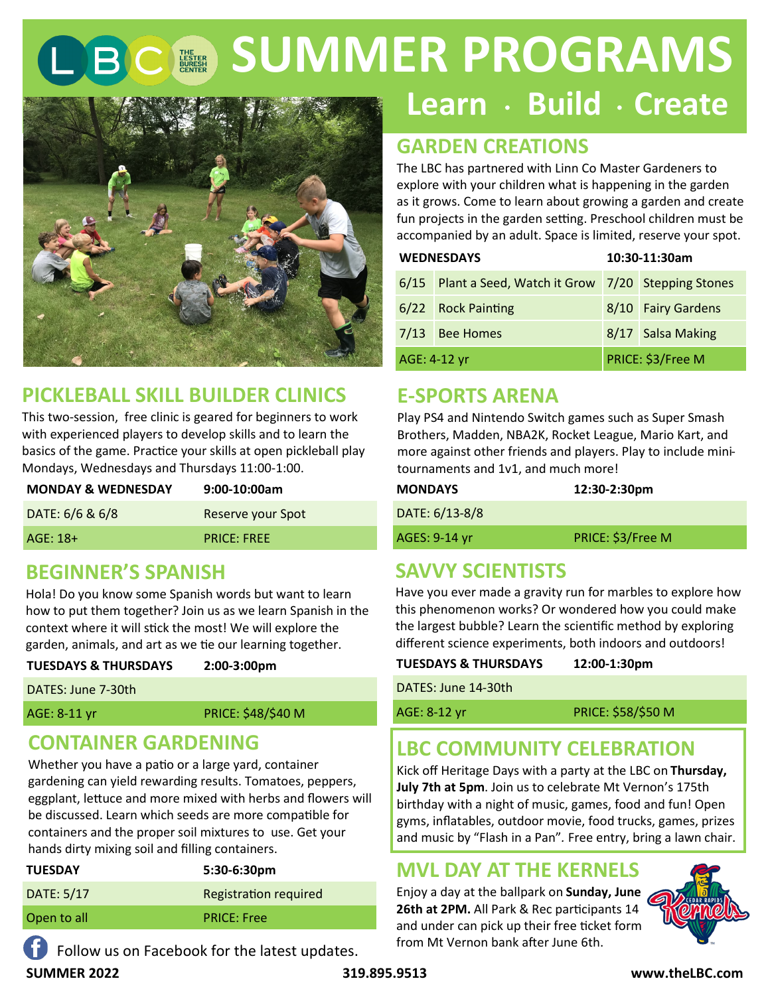# **SUMMER PROGRAMS**



# **PICKLEBALL SKILL BUILDER CLINICS**

This two-session, free clinic is geared for beginners to work with experienced players to develop skills and to learn the basics of the game. Practice your skills at open pickleball play Mondays, Wednesdays and Thursdays 11:00-1:00.

| <b>MONDAY &amp; WEDNESDAY</b> | $9:00-10:00am$           |
|-------------------------------|--------------------------|
| DATE: 6/6 & 6/8               | <b>Reserve your Spot</b> |
| $AGE: 18+$                    | <b>PRICE: FREE</b>       |

#### **BEGINNER'S SPANISH**

Hola! Do you know some Spanish words but want to learn how to put them together? Join us as we learn Spanish in the context where it will stick the most! We will explore the garden, animals, and art as we tie our learning together.

| <b>TUESDAYS &amp; THURSDAYS</b><br>2:00-3:00pm |
|------------------------------------------------|
|------------------------------------------------|

DATES: June 7-30th

AGE: 8-11 yr PRICE: \$48/\$40 M

# **CONTAINER GARDENING**

Whether you have a patio or a large yard, container gardening can yield rewarding results. Tomatoes, peppers, eggplant, lettuce and more mixed with herbs and flowers will be discussed. Learn which seeds are more compatible for containers and the proper soil mixtures to use. Get your hands dirty mixing soil and filling containers.

| <b>TUESDAY</b> | $5:30-6:30pm$                |
|----------------|------------------------------|
| DATE: 5/17     | <b>Registration required</b> |
| Open to all    | <b>PRICE: Free</b>           |
|                |                              |

Follow us on Facebook for the latest updates.

# Learn · Build · Create

# **GARDEN CREATIONS**

The LBC has partnered with Linn Co Master Gardeners to explore with your children what is happening in the garden as it grows. Come to learn about growing a garden and create fun projects in the garden setting. Preschool children must be accompanied by an adult. Space is limited, reserve your spot.

|              | <b>WEDNESDAYS</b>                                     | 10:30-11:30am      |
|--------------|-------------------------------------------------------|--------------------|
|              | 6/15 Plant a Seed, Watch it Grow 7/20 Stepping Stones |                    |
|              | 6/22 Rock Painting                                    | 8/10 Fairy Gardens |
|              | 7/13 Bee Homes                                        | 8/17 Salsa Making  |
| AGE: 4-12 yr |                                                       | PRICE: \$3/Free M  |

#### **E-SPORTS ARENA**

Play PS4 and Nintendo Switch games such as Super Smash Brothers, Madden, NBA2K, Rocket League, Mario Kart, and more against other friends and players. Play to include minitournaments and 1v1, and much more!

| <b>MONDAYS</b> | 12:30-2:30pm      |
|----------------|-------------------|
| DATE: 6/13-8/8 |                   |
| AGES: 9-14 yr  | PRICE: \$3/Free M |

# **SAVVY SCIENTISTS**

Have you ever made a gravity run for marbles to explore how this phenomenon works? Or wondered how you could make the largest bubble? Learn the scientific method by exploring different science experiments, both indoors and outdoors!

| <b>TUESDAYS &amp; THURSDAYS</b> | 12:00-1:30pm |
|---------------------------------|--------------|
| DATES: June 14-30th             |              |

| $111123.391112 + 30111$ |                           |
|-------------------------|---------------------------|
| AGE: 8-12 yr            | <b>PRICE: \$58/\$50 M</b> |
|                         |                           |
|                         |                           |

# **LBC COMMUNITY CELEBRATION**

Kick off Heritage Days with a party at the LBC on **Thursday, July 7th at 5pm**. Join us to celebrate Mt Vernon's 175th birthday with a night of music, games, food and fun! Open gyms, inflatables, outdoor movie, food trucks, games, prizes and music by "Flash in a Pan"*.* Free entry, bring a lawn chair.

#### **MVL DAY AT THE KERNELS**

Enjoy a day at the ballpark on **Sunday, June 26th at 2PM.** All Park & Rec participants 14 and under can pick up their free ticket form from Mt Vernon bank after June 6th.